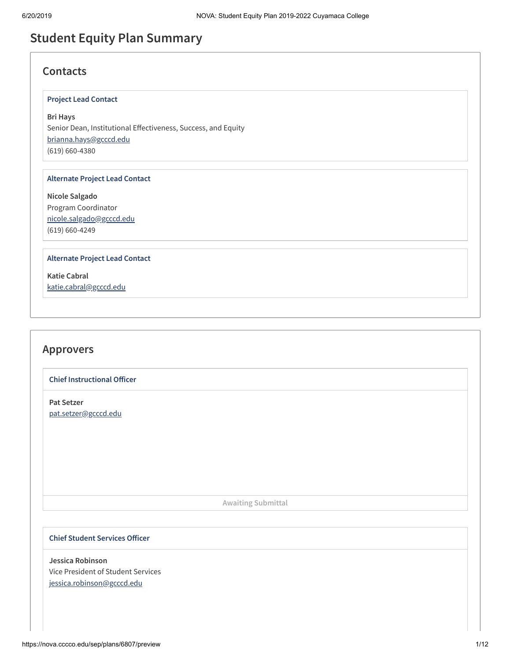# **Student Equity Plan Summary**

## **Contacts**

### **Project Lead Contact**

**Bri Hays** Senior Dean, Institutional Effectiveness, Success, and Equity [brianna.hays@gcccd.edu](mailto:brianna.hays@gcccd.edu) (619) 660-4380

#### **Alternate Project Lead Contact**

**Nicole Salgado** Program Coordinator [nicole.salgado@gcccd.edu](mailto:nicole.salgado@gcccd.edu) (619) 660-4249

#### **Alternate Project Lead Contact**

**Katie Cabral** [katie.cabral@gcccd.edu](mailto:katie.cabral@gcccd.edu)

## **Approvers**

**Chief Instructional Officer** 

**Pat Setzer** [pat.setzer@gcccd.edu](mailto:pat.setzer@gcccd.edu)

**Awaiting Submittal**

### **Chief Student Services Officer**

**Jessica Robinson** Vice President of Student Services [jessica.robinson@gcccd.edu](mailto:jessica.robinson@gcccd.edu)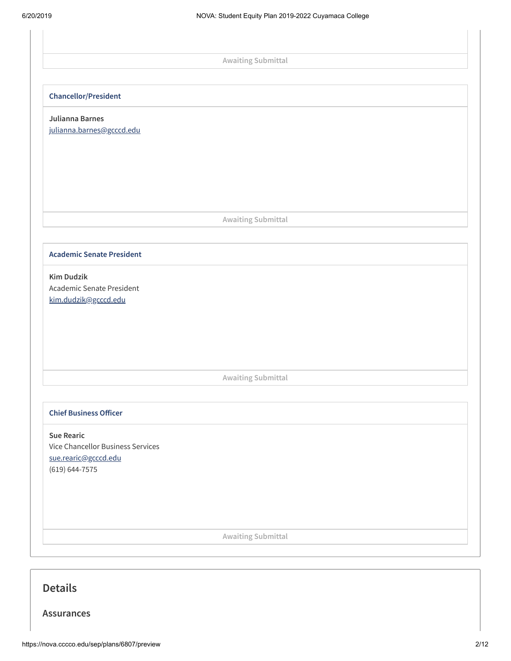i,

|                                              | <b>Awaiting Submittal</b> |  |
|----------------------------------------------|---------------------------|--|
|                                              |                           |  |
| <b>Chancellor/President</b>                  |                           |  |
|                                              |                           |  |
| Julianna Barnes<br>julianna.barnes@gcccd.edu |                           |  |
|                                              |                           |  |
|                                              |                           |  |
|                                              |                           |  |
|                                              |                           |  |
|                                              |                           |  |
|                                              | <b>Awaiting Submittal</b> |  |
|                                              |                           |  |
| <b>Academic Senate President</b>             |                           |  |
| <b>Kim Dudzik</b>                            |                           |  |
| Academic Senate President                    |                           |  |
| kim.dudzik@gcccd.edu                         |                           |  |
|                                              |                           |  |
|                                              |                           |  |
|                                              |                           |  |
|                                              |                           |  |
|                                              | <b>Awaiting Submittal</b> |  |
|                                              |                           |  |
| <b>Chief Business Officer</b>                |                           |  |
| <b>Sue Rearic</b>                            |                           |  |
| Vice Chancellor Business Services            |                           |  |
| sue.rearic@gcccd.edu<br>$(619) 644 - 7575$   |                           |  |
|                                              |                           |  |
|                                              |                           |  |
|                                              |                           |  |
|                                              |                           |  |
|                                              | Awaiting Submittal        |  |

## **Details**

**Assurances**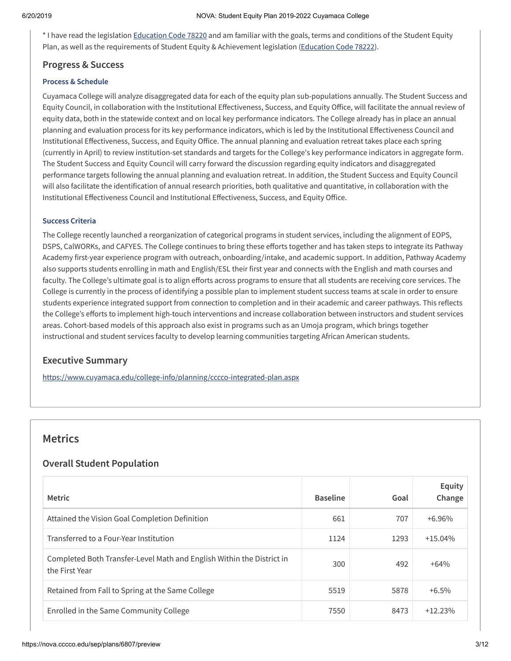\* I have read the legislation [Education](https://leginfo.legislature.ca.gov/faces/codes_displayText.xhtml?lawCode=EDC&division=7.&title=3.&part=48.&chapter=2.&article=1.5) Code 78220 and am familiar with the goals, terms and conditions of the Student Equity Plan, as well as the requirements of Student Equity & Achievement legislation ([Education](https://leginfo.legislature.ca.gov/faces/codes_displaySection.xhtml?lawCode=EDC§ionNum=78222.) Code 78222).

### **Progress & Success**

#### **Process & Schedule**

Cuyamaca College will analyze disaggregated data for each of the equity plan sub-populations annually. The Student Success and Equity Council, in collaboration with the Institutional Effectiveness, Success, and Equity Office, will facilitate the annual review of equity data, both in the statewide context and on local key performance indicators. The College already has in place an annual planning and evaluation process for its key performance indicators, which is led by the Institutional Effectiveness Council and Institutional Effectiveness, Success, and Equity Office. The annual planning and evaluation retreat takes place each spring (currently in April) to review institution-set standards and targets for the College's key performance indicators in aggregate form. The Student Success and Equity Council will carry forward the discussion regarding equity indicators and disaggregated performance targets following the annual planning and evaluation retreat. In addition, the Student Success and Equity Council will also facilitate the identification of annual research priorities, both qualitative and quantitative, in collaboration with the Institutional Effectiveness Council and Institutional Effectiveness, Success, and Equity Office.

### **Success Criteria**

The College recently launched a reorganization of categorical programs in student services, including the alignment of EOPS, DSPS, CalWORKs, and CAFYES. The College continues to bring these efforts together and has taken steps to integrate its Pathway Academy first-year experience program with outreach, onboarding/intake, and academic support. In addition, Pathway Academy also supports students enrolling in math and English/ESL their first year and connects with the English and math courses and faculty. The College's ultimate goal is to align efforts across programs to ensure that all students are receiving core services. The College is currently in the process of identifying a possible plan to implement student success teams at scale in order to ensure students experience integrated support from connection to completion and in their academic and career pathways. This reflects the College's efforts to implement high-touch interventions and increase collaboration between instructors and student services areas. Cohort-based models of this approach also exist in programs such as an Umoja program, which brings together instructional and student services faculty to develop learning communities targeting African American students.

### **Executive Summary**

<https://www.cuyamaca.edu/college-info/planning/cccco-integrated-plan.aspx>

## **Metrics**

### **Overall Student Population**

| <b>Metric</b>                                                                           | <b>Baseline</b> | Goal | Equity<br>Change |
|-----------------------------------------------------------------------------------------|-----------------|------|------------------|
| Attained the Vision Goal Completion Definition                                          | 661             | 707  | $+6.96\%$        |
| Transferred to a Four-Year Institution                                                  | 1124            | 1293 | $+15.04%$        |
| Completed Both Transfer-Level Math and English Within the District in<br>the First Year | 300             | 492  | $+64%$           |
| Retained from Fall to Spring at the Same College                                        | 5519            | 5878 | $+6.5\%$         |
| Enrolled in the Same Community College                                                  | 7550            | 8473 | $+12.23%$        |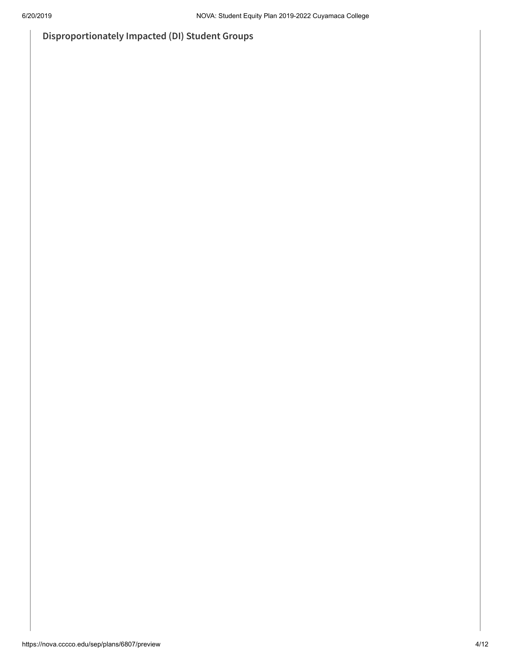**Disproportionately Impacted (DI) Student Groups**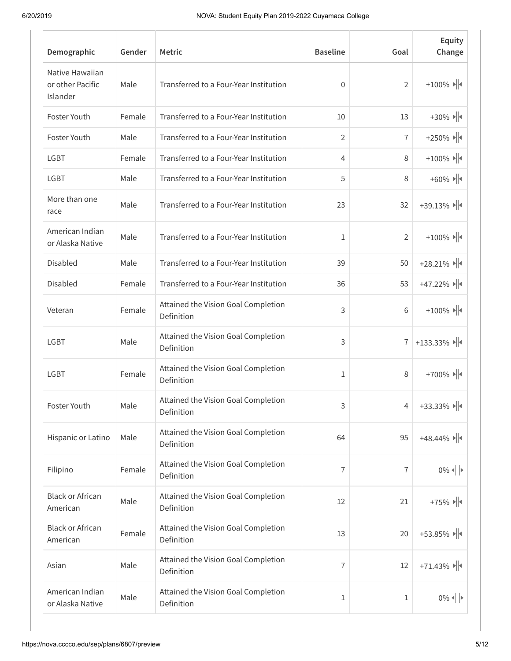| Demographic                                     | Gender | <b>Metric</b>                                     | <b>Baseline</b> | Goal           | Equity<br>Change                                                           |
|-------------------------------------------------|--------|---------------------------------------------------|-----------------|----------------|----------------------------------------------------------------------------|
| Native Hawaiian<br>or other Pacific<br>Islander | Male   | Transferred to a Four-Year Institution            | $\overline{0}$  | $\overline{2}$ | $+100\%$ $\rightarrow$ $\parallel$                                         |
| Foster Youth                                    | Female | Transferred to a Four-Year Institution            | 10              | 13             | $+30\%$ $\rightarrow$ $\parallel$                                          |
| Foster Youth                                    | Male   | Transferred to a Four-Year Institution            | 2               | 7              | $+250\%$ $\blacktriangleright$ $\blacktriangleright$ $\blacktriangleright$ |
| <b>LGBT</b>                                     | Female | Transferred to a Four-Year Institution            | 4               | 8              | $+100\%$ $\Vert$                                                           |
| <b>LGBT</b>                                     | Male   | Transferred to a Four-Year Institution            | 5               | 8              | $+60\%$ $\rightarrow$ $\parallel$                                          |
| More than one<br>race                           | Male   | Transferred to a Four-Year Institution            | 23              | 32             | $+39.13\%$                                                                 |
| American Indian<br>or Alaska Native             | Male   | Transferred to a Four-Year Institution            | 1               | 2              | $+100\%$ $\blacktriangleright$ $\blacktriangleright$                       |
| Disabled                                        | Male   | Transferred to a Four-Year Institution            | 39              | 50             | $+28.21\%$                                                                 |
| Disabled                                        | Female | Transferred to a Four-Year Institution            | 36              | 53             | $+47.22\%$                                                                 |
| Veteran                                         | Female | Attained the Vision Goal Completion<br>Definition | 3               | 6              | $+100\%$ $\rightarrow$ $\parallel$                                         |
| <b>LGBT</b>                                     | Male   | Attained the Vision Goal Completion<br>Definition | 3               | $\overline{1}$ | +133.33% $   \cdot   $                                                     |
| <b>LGBT</b>                                     | Female | Attained the Vision Goal Completion<br>Definition | 1               | 8              | $+700\%$ $\rightarrow$ $\parallel$                                         |
| Foster Youth                                    | Male   | Attained the Vision Goal Completion<br>Definition | 3               | 4              | $+33.33\%$                                                                 |
| Hispanic or Latino                              | Male   | Attained the Vision Goal Completion<br>Definition | 64              | 95             | $+48.44\%$                                                                 |
| Filipino                                        | Female | Attained the Vision Goal Completion<br>Definition | 7               | 7              | $0\%$ $\left\  \cdot \right\ $                                             |
| <b>Black or African</b><br>American             | Male   | Attained the Vision Goal Completion<br>Definition | 12              | 21             | $+75\%$ $\rightarrow$ $\parallel$                                          |
| <b>Black or African</b><br>American             | Female | Attained the Vision Goal Completion<br>Definition | 13              | 20             | $+53.85\%$                                                                 |
| Asian                                           | Male   | Attained the Vision Goal Completion<br>Definition | 7               | 12             | $+71.43\%$                                                                 |
| American Indian<br>or Alaska Native             | Male   | Attained the Vision Goal Completion<br>Definition | 1               | 1              | $0\%$ $\left\  \cdot \right\ $                                             |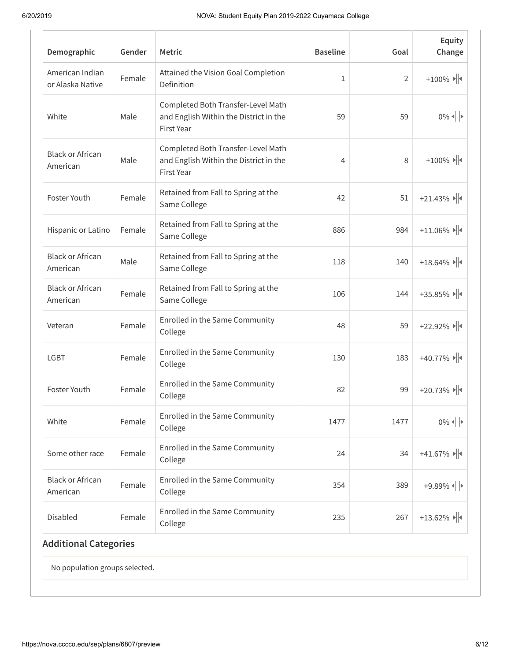| Demographic                         | Gender | <b>Metric</b>                                                                                     | <b>Baseline</b> | Goal           | Equity<br>Change                    |
|-------------------------------------|--------|---------------------------------------------------------------------------------------------------|-----------------|----------------|-------------------------------------|
| American Indian<br>or Alaska Native | Female | Attained the Vision Goal Completion<br>Definition                                                 | $\mathbf{1}$    | $\overline{2}$ | $+100\%$ $\rightarrow$ $\parallel$  |
| White                               | Male   | Completed Both Transfer-Level Math<br>and English Within the District in the<br>First Year        | 59              | 59             | $0\%$ $\downarrow$ $\triangleright$ |
| <b>Black or African</b><br>American | Male   | Completed Both Transfer-Level Math<br>and English Within the District in the<br><b>First Year</b> | 4               | 8              | $+100\%$ $\rightarrow$ $\parallel$  |
| Foster Youth                        | Female | Retained from Fall to Spring at the<br>Same College                                               | 42              | 51             | $+21.43\%$                          |
| Hispanic or Latino                  | Female | Retained from Fall to Spring at the<br>Same College                                               | 886             | 984            | $+11.06\%$                          |
| <b>Black or African</b><br>American | Male   | Retained from Fall to Spring at the<br>Same College                                               | 118             | 140            | $+18.64\%$                          |
| <b>Black or African</b><br>American | Female | Retained from Fall to Spring at the<br>Same College                                               | 106             | 144            | $+35.85\%$                          |
| Veteran                             | Female | Enrolled in the Same Community<br>College                                                         | 48              | 59             | $+22.92\%$                          |
| <b>LGBT</b>                         | Female | Enrolled in the Same Community<br>College                                                         | 130             | 183            | $+40.77\%$                          |
| Foster Youth                        | Female | Enrolled in the Same Community<br>College                                                         | 82              | 99             | $+20.73\%$                          |
| White                               | Female | Enrolled in the Same Community<br>College                                                         | 1477            | 1477           | $0\%$ $\parallel$ $\triangleright$  |
| Some other race                     | Female | Enrolled in the Same Community<br>College                                                         | 24              | 34             | $+41.67\%$                          |
| <b>Black or African</b><br>American | Female | Enrolled in the Same Community<br>College                                                         | 354             | 389            | $+9.89\%$                           |
| Disabled                            | Female | Enrolled in the Same Community<br>College                                                         | 235             | 267            | $+13.62\%$                          |

No population groups selected.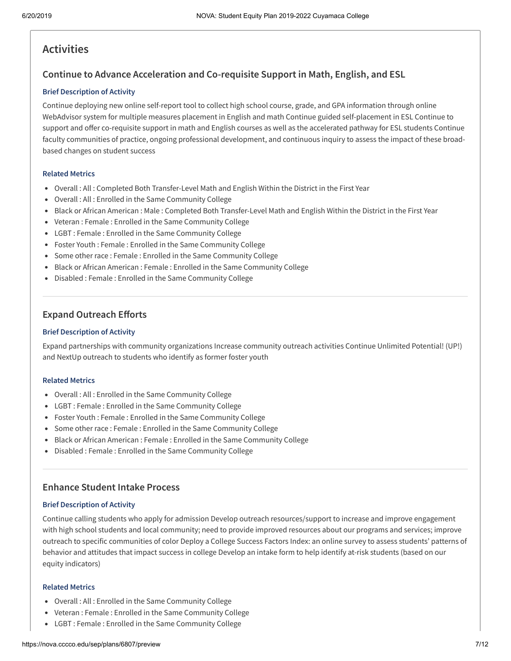## **Activities**

### **Continue to Advance Acceleration and Co-requisite Support in Math, English, and ESL**

#### **Brief Description of Activity**

Continue deploying new online self-report tool to collect high school course, grade, and GPA information through online WebAdvisor system for multiple measures placement in English and math Continue guided self-placement in ESL Continue to support and offer co-requisite support in math and English courses as well as the accelerated pathway for ESL students Continue faculty communities of practice, ongoing professional development, and continuous inquiry to assess the impact of these broadbased changes on student success

#### **Related Metrics**

- Overall : All : Completed Both Transfer-Level Math and English Within the District in the First Year
- Overall : All : Enrolled in the Same Community College
- Black or African American : Male : Completed Both Transfer-Level Math and English Within the District in the First Year
- Veteran : Female : Enrolled in the Same Community College
- LGBT : Female : Enrolled in the Same Community College
- Foster Youth : Female : Enrolled in the Same Community College
- Some other race : Female : Enrolled in the Same Community College
- Black or African American : Female : Enrolled in the Same Community College
- Disabled : Female : Enrolled in the Same Community College

### **Expand Outreach Efforts**

#### **Brief Description of Activity**

Expand partnerships with community organizations Increase community outreach activities Continue Unlimited Potential! (UP!) and NextUp outreach to students who identify as former foster youth

#### **Related Metrics**

- Overall : All : Enrolled in the Same Community College
- LGBT : Female : Enrolled in the Same Community College
- Foster Youth : Female : Enrolled in the Same Community College
- Some other race : Female : Enrolled in the Same Community College
- Black or African American : Female : Enrolled in the Same Community College
- Disabled : Female : Enrolled in the Same Community College

### **Enhance Student Intake Process**

#### **Brief Description of Activity**

Continue calling students who apply for admission Develop outreach resources/support to increase and improve engagement with high school students and local community; need to provide improved resources about our programs and services; improve outreach to specific communities of color Deploy a College Success Factors Index: an online survey to assess students' patterns of behavior and attitudes that impact success in college Develop an intake form to help identify at-risk students (based on our equity indicators)

- Overall : All : Enrolled in the Same Community College
- Veteran : Female : Enrolled in the Same Community College
- LGBT : Female : Enrolled in the Same Community College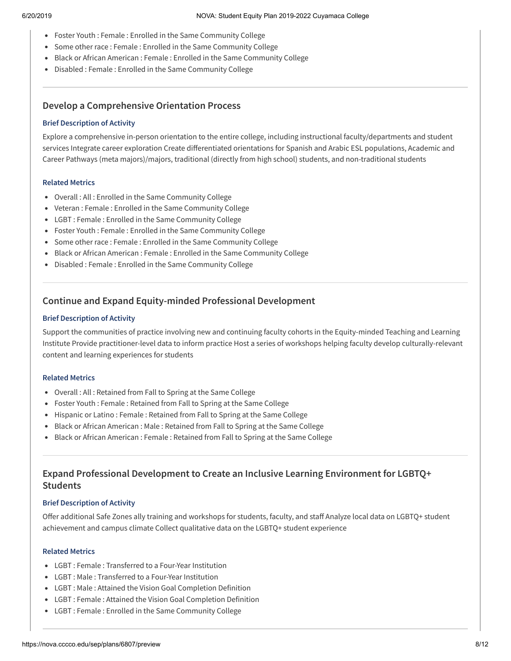- Foster Youth : Female : Enrolled in the Same Community College
- Some other race : Female : Enrolled in the Same Community College
- Black or African American : Female : Enrolled in the Same Community College
- Disabled : Female : Enrolled in the Same Community College

## **Develop a Comprehensive Orientation Process**

### **Brief Description of Activity**

Explore a comprehensive in-person orientation to the entire college, including instructional faculty/departments and student services Integrate career exploration Create differentiated orientations for Spanish and Arabic ESL populations, Academic and Career Pathways (meta majors)/majors, traditional (directly from high school) students, and non-traditional students

### **Related Metrics**

- Overall : All : Enrolled in the Same Community College
- Veteran : Female : Enrolled in the Same Community College
- LGBT : Female : Enrolled in the Same Community College
- Foster Youth : Female : Enrolled in the Same Community College
- Some other race : Female : Enrolled in the Same Community College
- Black or African American : Female : Enrolled in the Same Community College
- Disabled : Female : Enrolled in the Same Community College

## **Continue and Expand Equity-minded Professional Development**

### **Brief Description of Activity**

Support the communities of practice involving new and continuing faculty cohorts in the Equity-minded Teaching and Learning Institute Provide practitioner-level data to inform practice Host a series of workshops helping faculty develop culturally-relevant content and learning experiences for students

### **Related Metrics**

- Overall : All : Retained from Fall to Spring at the Same College
- Foster Youth : Female : Retained from Fall to Spring at the Same College
- Hispanic or Latino : Female : Retained from Fall to Spring at the Same College
- Black or African American : Male : Retained from Fall to Spring at the Same College
- Black or African American : Female : Retained from Fall to Spring at the Same College

## **Expand Professional Development to Create an Inclusive Learning Environment for LGBTQ+ Students**

### **Brief Description of Activity**

Offer additional Safe Zones ally training and workshops for students, faculty, and staff Analyze local data on LGBTQ+ student achievement and campus climate Collect qualitative data on the LGBTQ+ student experience

- LGBT : Female : Transferred to a Four-Year Institution
- LGBT : Male : Transferred to a Four-Year Institution
- LGBT : Male : Attained the Vision Goal Completion Definition
- LGBT : Female : Attained the Vision Goal Completion Definition
- LGBT : Female : Enrolled in the Same Community College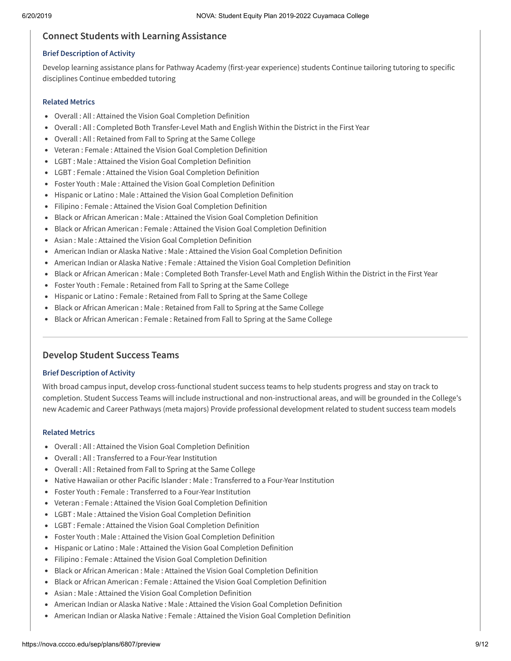### **Connect Students with Learning Assistance**

#### **Brief Description of Activity**

Develop learning assistance plans for Pathway Academy (first-year experience) students Continue tailoring tutoring to specific disciplines Continue embedded tutoring

#### **Related Metrics**

- Overall : All : Attained the Vision Goal Completion Definition
- Overall : All : Completed Both Transfer-Level Math and English Within the District in the First Year
- Overall : All : Retained from Fall to Spring at the Same College
- Veteran : Female : Attained the Vision Goal Completion Definition
- LGBT : Male : Attained the Vision Goal Completion Definition
- LGBT : Female : Attained the Vision Goal Completion Definition
- Foster Youth : Male : Attained the Vision Goal Completion Definition
- Hispanic or Latino : Male : Attained the Vision Goal Completion Definition
- Filipino : Female : Attained the Vision Goal Completion Definition
- **Black or African American : Male : Attained the Vision Goal Completion Definition**
- **Black or African American : Female : Attained the Vision Goal Completion Definition**
- Asian : Male : Attained the Vision Goal Completion Definition
- American Indian or Alaska Native : Male : Attained the Vision Goal Completion Definition
- American Indian or Alaska Native : Female : Attained the Vision Goal Completion Definition
- Black or African American : Male : Completed Both Transfer-Level Math and English Within the District in the First Year
- Foster Youth : Female : Retained from Fall to Spring at the Same College
- Hispanic or Latino : Female : Retained from Fall to Spring at the Same College
- Black or African American : Male : Retained from Fall to Spring at the Same College
- Black or African American : Female : Retained from Fall to Spring at the Same College

### **Develop Student Success Teams**

#### **Brief Description of Activity**

With broad campus input, develop cross-functional student success teams to help students progress and stay on track to completion. Student Success Teams will include instructional and non-instructional areas, and will be grounded in the College's new Academic and Career Pathways (meta majors) Provide professional development related to student success team models

- Overall : All : Attained the Vision Goal Completion Definition
- Overall : All : Transferred to a Four-Year Institution
- Overall : All : Retained from Fall to Spring at the Same College
- Native Hawaiian or other Pacific Islander : Male : Transferred to a Four-Year Institution
- Foster Youth : Female : Transferred to a Four-Year Institution
- Veteran : Female : Attained the Vision Goal Completion Definition
- LGBT : Male : Attained the Vision Goal Completion Definition
- LGBT : Female : Attained the Vision Goal Completion Definition
- Foster Youth : Male : Attained the Vision Goal Completion Definition
- Hispanic or Latino : Male : Attained the Vision Goal Completion Definition
- Filipino : Female : Attained the Vision Goal Completion Definition
- Black or African American : Male : Attained the Vision Goal Completion Definition
- Black or African American : Female : Attained the Vision Goal Completion Definition
- Asian : Male : Attained the Vision Goal Completion Definition
- American Indian or Alaska Native : Male : Attained the Vision Goal Completion Definition
- American Indian or Alaska Native : Female : Attained the Vision Goal Completion Definition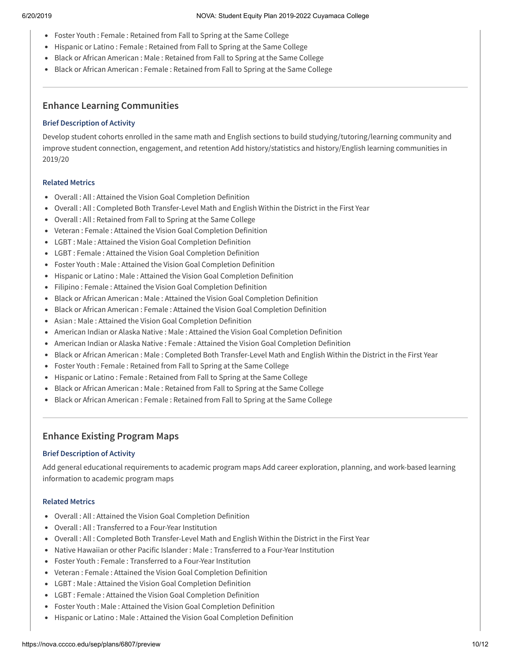- Foster Youth : Female : Retained from Fall to Spring at the Same College
- Hispanic or Latino : Female : Retained from Fall to Spring at the Same College
- Black or African American : Male : Retained from Fall to Spring at the Same College
- Black or African American : Female : Retained from Fall to Spring at the Same College

## **Enhance Learning Communities**

### **Brief Description of Activity**

Develop student cohorts enrolled in the same math and English sections to build studying/tutoring/learning community and improve student connection, engagement, and retention Add history/statistics and history/English learning communities in 2019/20

### **Related Metrics**

- Overall : All : Attained the Vision Goal Completion Definition
- Overall : All : Completed Both Transfer-Level Math and English Within the District in the First Year
- Overall : All : Retained from Fall to Spring at the Same College
- Veteran : Female : Attained the Vision Goal Completion Definition
- LGBT : Male : Attained the Vision Goal Completion Definition
- LGBT : Female : Attained the Vision Goal Completion Definition
- Foster Youth : Male : Attained the Vision Goal Completion Definition
- Hispanic or Latino : Male : Attained the Vision Goal Completion Definition
- Filipino : Female : Attained the Vision Goal Completion Definition
- Black or African American : Male : Attained the Vision Goal Completion Definition
- **Black or African American : Female : Attained the Vision Goal Completion Definition**
- Asian : Male : Attained the Vision Goal Completion Definition
- American Indian or Alaska Native : Male : Attained the Vision Goal Completion Definition
- American Indian or Alaska Native : Female : Attained the Vision Goal Completion Definition
- Black or African American : Male : Completed Both Transfer-Level Math and English Within the District in the First Year
- Foster Youth : Female : Retained from Fall to Spring at the Same College
- Hispanic or Latino : Female : Retained from Fall to Spring at the Same College
- Black or African American : Male : Retained from Fall to Spring at the Same College
- Black or African American : Female : Retained from Fall to Spring at the Same College

## **Enhance Existing Program Maps**

### **Brief Description of Activity**

Add general educational requirements to academic program maps Add career exploration, planning, and work-based learning information to academic program maps

- Overall : All : Attained the Vision Goal Completion Definition
- Overall : All : Transferred to a Four-Year Institution
- Overall : All : Completed Both Transfer-Level Math and English Within the District in the First Year
- Native Hawaiian or other Pacific Islander : Male : Transferred to a Four-Year Institution
- Foster Youth : Female : Transferred to a Four-Year Institution
- Veteran : Female : Attained the Vision Goal Completion Definition
- LGBT : Male : Attained the Vision Goal Completion Definition
- LGBT : Female : Attained the Vision Goal Completion Definition
- Foster Youth : Male : Attained the Vision Goal Completion Definition
- Hispanic or Latino : Male : Attained the Vision Goal Completion Definition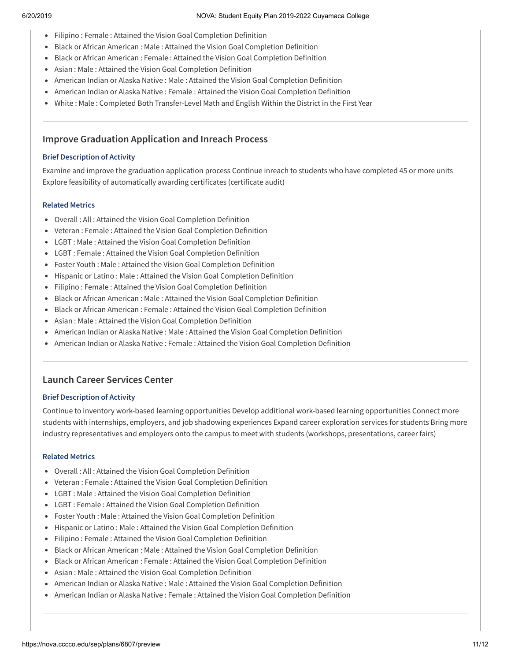- Filipino : Female : Attained the Vision Goal Completion Definition
- **Black or African American : Male : Attained the Vision Goal Completion Definition**
- **Black or African American : Female : Attained the Vision Goal Completion Definition**
- Asian : Male : Attained the Vision Goal Completion Definition
- American Indian or Alaska Native : Male : Attained the Vision Goal Completion Definition
- American Indian or Alaska Native : Female : Attained the Vision Goal Completion Definition
- White : Male : Completed Both Transfer-Level Math and English Within the District in the First Year

### **Improve Graduation Application and Inreach Process**

#### **Brief Description of Activity**

Examine and improve the graduation application process Continue inreach to students who have completed 45 or more units Explore feasibility of automatically awarding certificates (certificate audit)

#### **Related Metrics**

- Overall : All : Attained the Vision Goal Completion Definition
- Veteran : Female : Attained the Vision Goal Completion Definition
- LGBT : Male : Attained the Vision Goal Completion Definition
- LGBT : Female : Attained the Vision Goal Completion Definition
- Foster Youth : Male : Attained the Vision Goal Completion Definition
- Hispanic or Latino : Male : Attained the Vision Goal Completion Definition
- Filipino : Female : Attained the Vision Goal Completion Definition
- Black or African American : Male : Attained the Vision Goal Completion Definition
- **Black or African American : Female : Attained the Vision Goal Completion Definition**
- Asian : Male : Attained the Vision Goal Completion Definition
- American Indian or Alaska Native : Male : Attained the Vision Goal Completion Definition
- American Indian or Alaska Native : Female : Attained the Vision Goal Completion Definition

### **Launch Career Services Center**

#### **Brief Description of Activity**

Continue to inventory work-based learning opportunities Develop additional work-based learning opportunities Connect more students with internships, employers, and job shadowing experiences Expand career exploration services for students Bring more industry representatives and employers onto the campus to meet with students (workshops, presentations, career fairs)

- Overall : All : Attained the Vision Goal Completion Definition
- Veteran : Female : Attained the Vision Goal Completion Definition
- LGBT : Male : Attained the Vision Goal Completion Definition
- LGBT : Female : Attained the Vision Goal Completion Definition
- Foster Youth : Male : Attained the Vision Goal Completion Definition
- Hispanic or Latino : Male : Attained the Vision Goal Completion Definition
- Filipino : Female : Attained the Vision Goal Completion Definition
- Black or African American : Male : Attained the Vision Goal Completion Definition
- **Black or African American : Female : Attained the Vision Goal Completion Definition**
- Asian : Male : Attained the Vision Goal Completion Definition
- American Indian or Alaska Native : Male : Attained the Vision Goal Completion Definition
- American Indian or Alaska Native : Female : Attained the Vision Goal Completion Definition